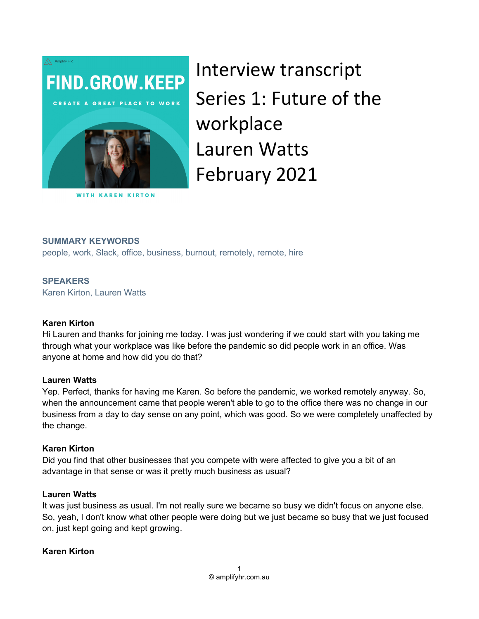

Interview transcript Series 1: Future of the workplace Lauren Watts February 2021

#### SUMMARY KEYWORDS

people, work, Slack, office, business, burnout, remotely, remote, hire

#### **SPEAKERS**

Karen Kirton, Lauren Watts

#### Karen Kirton

Hi Lauren and thanks for joining me today. I was just wondering if we could start with you taking me through what your workplace was like before the pandemic so did people work in an office. Was anyone at home and how did you do that?

#### Lauren Watts

Yep. Perfect, thanks for having me Karen. So before the pandemic, we worked remotely anyway. So, when the announcement came that people weren't able to go to the office there was no change in our business from a day to day sense on any point, which was good. So we were completely unaffected by the change.

#### Karen Kirton

Did you find that other businesses that you compete with were affected to give you a bit of an advantage in that sense or was it pretty much business as usual?

#### Lauren Watts

It was just business as usual. I'm not really sure we became so busy we didn't focus on anyone else. So, yeah, I don't know what other people were doing but we just became so busy that we just focused on, just kept going and kept growing.

#### Karen Kirton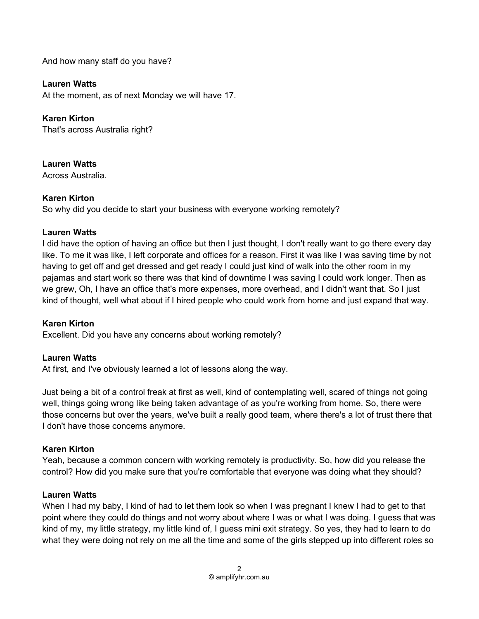And how many staff do you have?

# Lauren Watts

At the moment, as of next Monday we will have 17.

Karen Kirton That's across Australia right?

Lauren Watts Across Australia.

## Karen Kirton

So why did you decide to start your business with everyone working remotely?

#### Lauren Watts

I did have the option of having an office but then I just thought, I don't really want to go there every day like. To me it was like, I left corporate and offices for a reason. First it was like I was saving time by not having to get off and get dressed and get ready I could just kind of walk into the other room in my pajamas and start work so there was that kind of downtime I was saving I could work longer. Then as we grew, Oh, I have an office that's more expenses, more overhead, and I didn't want that. So I just kind of thought, well what about if I hired people who could work from home and just expand that way.

#### Karen Kirton

Excellent. Did you have any concerns about working remotely?

#### Lauren Watts

At first, and I've obviously learned a lot of lessons along the way.

Just being a bit of a control freak at first as well, kind of contemplating well, scared of things not going well, things going wrong like being taken advantage of as you're working from home. So, there were those concerns but over the years, we've built a really good team, where there's a lot of trust there that I don't have those concerns anymore.

## Karen Kirton

Yeah, because a common concern with working remotely is productivity. So, how did you release the control? How did you make sure that you're comfortable that everyone was doing what they should?

#### Lauren Watts

When I had my baby, I kind of had to let them look so when I was pregnant I knew I had to get to that point where they could do things and not worry about where I was or what I was doing. I guess that was kind of my, my little strategy, my little kind of, I guess mini exit strategy. So yes, they had to learn to do what they were doing not rely on me all the time and some of the girls stepped up into different roles so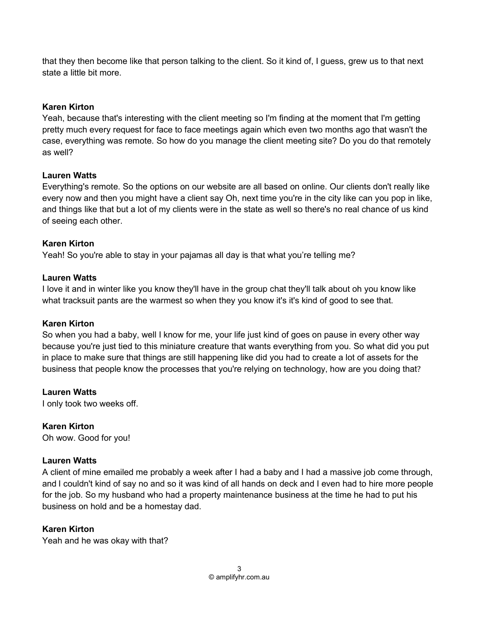that they then become like that person talking to the client. So it kind of, I guess, grew us to that next state a little bit more.

# Karen Kirton

Yeah, because that's interesting with the client meeting so I'm finding at the moment that I'm getting pretty much every request for face to face meetings again which even two months ago that wasn't the case, everything was remote. So how do you manage the client meeting site? Do you do that remotely as well?

# Lauren Watts

Everything's remote. So the options on our website are all based on online. Our clients don't really like every now and then you might have a client say Oh, next time you're in the city like can you pop in like, and things like that but a lot of my clients were in the state as well so there's no real chance of us kind of seeing each other.

# Karen Kirton

Yeah! So you're able to stay in your pajamas all day is that what you're telling me?

# Lauren Watts

I love it and in winter like you know they'll have in the group chat they'll talk about oh you know like what tracksuit pants are the warmest so when they you know it's it's kind of good to see that.

## Karen Kirton

So when you had a baby, well I know for me, your life just kind of goes on pause in every other way because you're just tied to this miniature creature that wants everything from you. So what did you put in place to make sure that things are still happening like did you had to create a lot of assets for the business that people know the processes that you're relying on technology, how are you doing that?

Lauren Watts

I only took two weeks off.

# Karen Kirton

Oh wow. Good for you!

# Lauren Watts

A client of mine emailed me probably a week after I had a baby and I had a massive job come through, and I couldn't kind of say no and so it was kind of all hands on deck and I even had to hire more people for the job. So my husband who had a property maintenance business at the time he had to put his business on hold and be a homestay dad.

## Karen Kirton

Yeah and he was okay with that?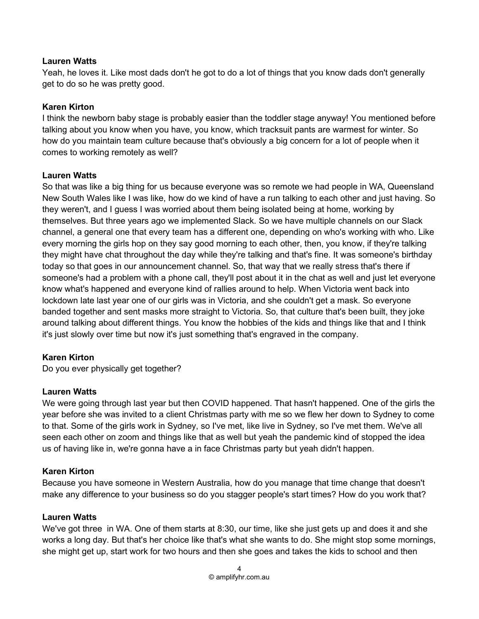#### Lauren Watts

Yeah, he loves it. Like most dads don't he got to do a lot of things that you know dads don't generally get to do so he was pretty good.

## Karen Kirton

I think the newborn baby stage is probably easier than the toddler stage anyway! You mentioned before talking about you know when you have, you know, which tracksuit pants are warmest for winter. So how do you maintain team culture because that's obviously a big concern for a lot of people when it comes to working remotely as well?

## Lauren Watts

So that was like a big thing for us because everyone was so remote we had people in WA, Queensland New South Wales like I was like, how do we kind of have a run talking to each other and just having. So they weren't, and I guess I was worried about them being isolated being at home, working by themselves. But three years ago we implemented Slack. So we have multiple channels on our Slack channel, a general one that every team has a different one, depending on who's working with who. Like every morning the girls hop on they say good morning to each other, then, you know, if they're talking they might have chat throughout the day while they're talking and that's fine. It was someone's birthday today so that goes in our announcement channel. So, that way that we really stress that's there if someone's had a problem with a phone call, they'll post about it in the chat as well and just let everyone know what's happened and everyone kind of rallies around to help. When Victoria went back into lockdown late last year one of our girls was in Victoria, and she couldn't get a mask. So everyone banded together and sent masks more straight to Victoria. So, that culture that's been built, they joke around talking about different things. You know the hobbies of the kids and things like that and I think it's just slowly over time but now it's just something that's engraved in the company.

## Karen Kirton

Do you ever physically get together?

## Lauren Watts

We were going through last year but then COVID happened. That hasn't happened. One of the girls the year before she was invited to a client Christmas party with me so we flew her down to Sydney to come to that. Some of the girls work in Sydney, so I've met, like live in Sydney, so I've met them. We've all seen each other on zoom and things like that as well but yeah the pandemic kind of stopped the idea us of having like in, we're gonna have a in face Christmas party but yeah didn't happen.

## Karen Kirton

Because you have someone in Western Australia, how do you manage that time change that doesn't make any difference to your business so do you stagger people's start times? How do you work that?

#### Lauren Watts

We've got three in WA. One of them starts at 8:30, our time, like she just gets up and does it and she works a long day. But that's her choice like that's what she wants to do. She might stop some mornings, she might get up, start work for two hours and then she goes and takes the kids to school and then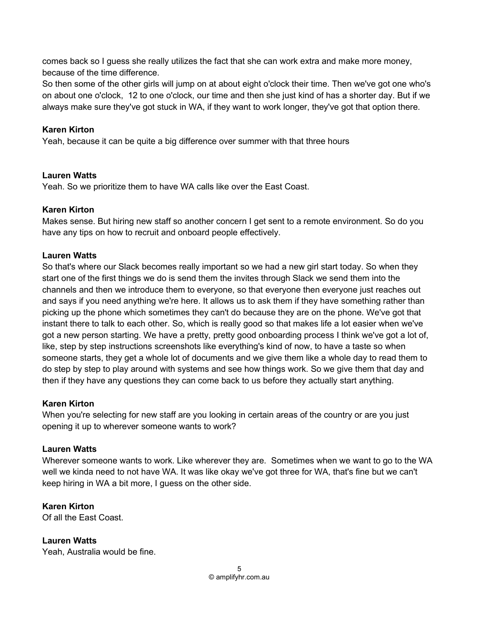comes back so I guess she really utilizes the fact that she can work extra and make more money, because of the time difference.

So then some of the other girls will jump on at about eight o'clock their time. Then we've got one who's on about one o'clock, 12 to one o'clock, our time and then she just kind of has a shorter day. But if we always make sure they've got stuck in WA, if they want to work longer, they've got that option there.

# Karen Kirton

Yeah, because it can be quite a big difference over summer with that three hours

# Lauren Watts

Yeah. So we prioritize them to have WA calls like over the East Coast.

# Karen Kirton

Makes sense. But hiring new staff so another concern I get sent to a remote environment. So do you have any tips on how to recruit and onboard people effectively.

# Lauren Watts

So that's where our Slack becomes really important so we had a new girl start today. So when they start one of the first things we do is send them the invites through Slack we send them into the channels and then we introduce them to everyone, so that everyone then everyone just reaches out and says if you need anything we're here. It allows us to ask them if they have something rather than picking up the phone which sometimes they can't do because they are on the phone. We've got that instant there to talk to each other. So, which is really good so that makes life a lot easier when we've got a new person starting. We have a pretty, pretty good onboarding process I think we've got a lot of, like, step by step instructions screenshots like everything's kind of now, to have a taste so when someone starts, they get a whole lot of documents and we give them like a whole day to read them to do step by step to play around with systems and see how things work. So we give them that day and then if they have any questions they can come back to us before they actually start anything.

## Karen Kirton

When you're selecting for new staff are you looking in certain areas of the country or are you just opening it up to wherever someone wants to work?

# Lauren Watts

Wherever someone wants to work. Like wherever they are. Sometimes when we want to go to the WA well we kinda need to not have WA. It was like okay we've got three for WA, that's fine but we can't keep hiring in WA a bit more, I guess on the other side.

# Karen Kirton

Of all the East Coast.

Lauren Watts Yeah, Australia would be fine.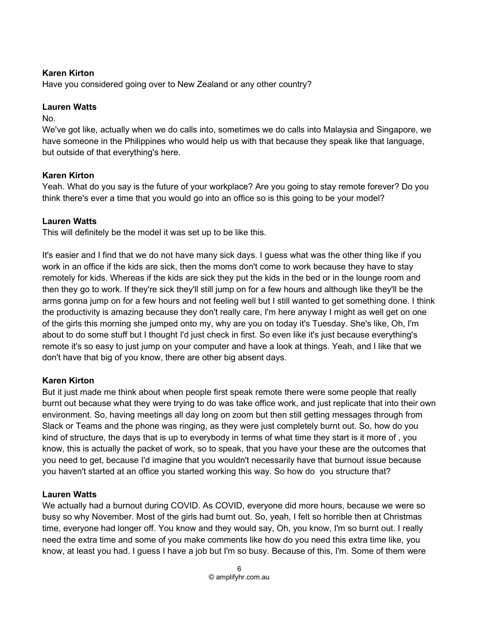# Karen Kirton

Have you considered going over to New Zealand or any other country?

# Lauren Watts

No.

We've got like, actually when we do calls into, sometimes we do calls into Malaysia and Singapore, we have someone in the Philippines who would help us with that because they speak like that language, but outside of that everything's here.

# Karen Kirton

Yeah. What do you say is the future of your workplace? Are you going to stay remote forever? Do you think there's ever a time that you would go into an office so is this going to be your model?

# Lauren Watts

This will definitely be the model it was set up to be like this.

It's easier and I find that we do not have many sick days. I guess what was the other thing like if you work in an office if the kids are sick, then the moms don't come to work because they have to stay remotely for kids. Whereas if the kids are sick they put the kids in the bed or in the lounge room and then they go to work. If they're sick they'll still jump on for a few hours and although like they'll be the arms gonna jump on for a few hours and not feeling well but I still wanted to get something done. I think the productivity is amazing because they don't really care, I'm here anyway I might as well get on one of the girls this morning she jumped onto my, why are you on today it's Tuesday. She's like, Oh, I'm about to do some stuff but I thought I'd just check in first. So even like it's just because everything's remote it's so easy to just jump on your computer and have a look at things. Yeah, and I like that we don't have that big of you know, there are other big absent days.

# Karen Kirton

But it just made me think about when people first speak remote there were some people that really burnt out because what they were trying to do was take office work, and just replicate that into their own environment. So, having meetings all day long on zoom but then still getting messages through from Slack or Teams and the phone was ringing, as they were just completely burnt out. So, how do you kind of structure, the days that is up to everybody in terms of what time they start is it more of , you know, this is actually the packet of work, so to speak, that you have your these are the outcomes that you need to get, because I'd imagine that you wouldn't necessarily have that burnout issue because you haven't started at an office you started working this way. So how do you structure that?

# Lauren Watts

We actually had a burnout during COVID. As COVID, everyone did more hours, because we were so busy so why November. Most of the girls had burnt out. So, yeah, I felt so horrible then at Christmas time, everyone had longer off. You know and they would say, Oh, you know, I'm so burnt out. I really need the extra time and some of you make comments like how do you need this extra time like, you know, at least you had. I guess I have a job but I'm so busy. Because of this, I'm. Some of them were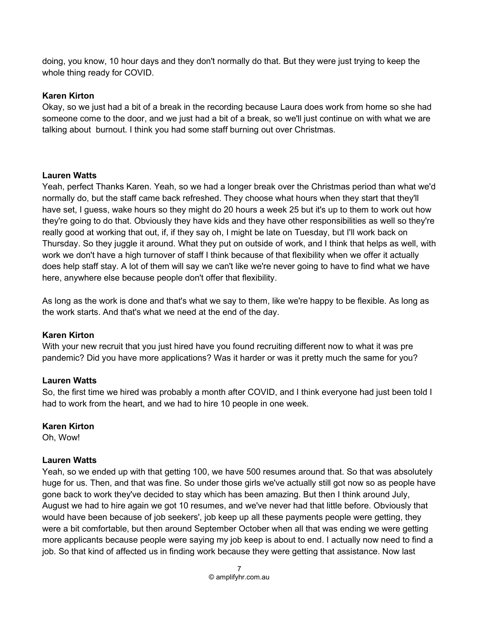doing, you know, 10 hour days and they don't normally do that. But they were just trying to keep the whole thing ready for COVID.

#### Karen Kirton

Okay, so we just had a bit of a break in the recording because Laura does work from home so she had someone come to the door, and we just had a bit of a break, so we'll just continue on with what we are talking about burnout. I think you had some staff burning out over Christmas.

#### Lauren Watts

Yeah, perfect Thanks Karen. Yeah, so we had a longer break over the Christmas period than what we'd normally do, but the staff came back refreshed. They choose what hours when they start that they'll have set, I guess, wake hours so they might do 20 hours a week 25 but it's up to them to work out how they're going to do that. Obviously they have kids and they have other responsibilities as well so they're really good at working that out, if, if they say oh, I might be late on Tuesday, but I'll work back on Thursday. So they juggle it around. What they put on outside of work, and I think that helps as well, with work we don't have a high turnover of staff I think because of that flexibility when we offer it actually does help staff stay. A lot of them will say we can't like we're never going to have to find what we have here, anywhere else because people don't offer that flexibility.

As long as the work is done and that's what we say to them, like we're happy to be flexible. As long as the work starts. And that's what we need at the end of the day.

## Karen Kirton

With your new recruit that you just hired have you found recruiting different now to what it was pre pandemic? Did you have more applications? Was it harder or was it pretty much the same for you?

#### Lauren Watts

So, the first time we hired was probably a month after COVID, and I think everyone had just been told I had to work from the heart, and we had to hire 10 people in one week.

## Karen Kirton

Oh, Wow!

## Lauren Watts

Yeah, so we ended up with that getting 100, we have 500 resumes around that. So that was absolutely huge for us. Then, and that was fine. So under those girls we've actually still got now so as people have gone back to work they've decided to stay which has been amazing. But then I think around July, August we had to hire again we got 10 resumes, and we've never had that little before. Obviously that would have been because of job seekers', job keep up all these payments people were getting, they were a bit comfortable, but then around September October when all that was ending we were getting more applicants because people were saying my job keep is about to end. I actually now need to find a job. So that kind of affected us in finding work because they were getting that assistance. Now last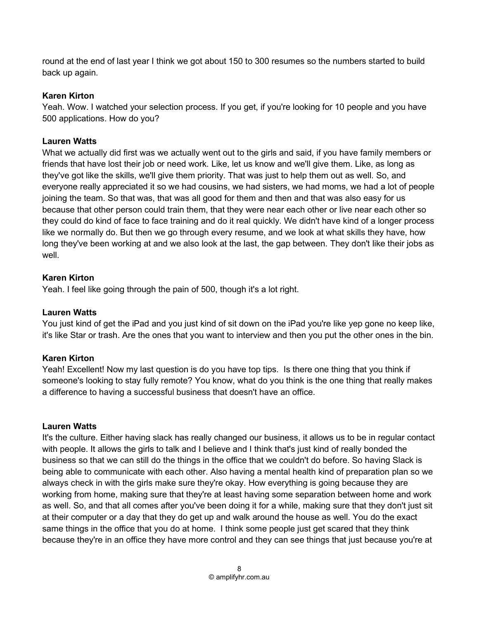round at the end of last year I think we got about 150 to 300 resumes so the numbers started to build back up again.

# Karen Kirton

Yeah. Wow. I watched your selection process. If you get, if you're looking for 10 people and you have 500 applications. How do you?

# Lauren Watts

What we actually did first was we actually went out to the girls and said, if you have family members or friends that have lost their job or need work. Like, let us know and we'll give them. Like, as long as they've got like the skills, we'll give them priority. That was just to help them out as well. So, and everyone really appreciated it so we had cousins, we had sisters, we had moms, we had a lot of people joining the team. So that was, that was all good for them and then and that was also easy for us because that other person could train them, that they were near each other or live near each other so they could do kind of face to face training and do it real quickly. We didn't have kind of a longer process like we normally do. But then we go through every resume, and we look at what skills they have, how long they've been working at and we also look at the last, the gap between. They don't like their jobs as well.

# Karen Kirton

Yeah. I feel like going through the pain of 500, though it's a lot right.

# Lauren Watts

You just kind of get the iPad and you just kind of sit down on the iPad you're like yep gone no keep like, it's like Star or trash. Are the ones that you want to interview and then you put the other ones in the bin.

# Karen Kirton

Yeah! Excellent! Now my last question is do you have top tips. Is there one thing that you think if someone's looking to stay fully remote? You know, what do you think is the one thing that really makes a difference to having a successful business that doesn't have an office.

## Lauren Watts

It's the culture. Either having slack has really changed our business, it allows us to be in regular contact with people. It allows the girls to talk and I believe and I think that's just kind of really bonded the business so that we can still do the things in the office that we couldn't do before. So having Slack is being able to communicate with each other. Also having a mental health kind of preparation plan so we always check in with the girls make sure they're okay. How everything is going because they are working from home, making sure that they're at least having some separation between home and work as well. So, and that all comes after you've been doing it for a while, making sure that they don't just sit at their computer or a day that they do get up and walk around the house as well. You do the exact same things in the office that you do at home. I think some people just get scared that they think because they're in an office they have more control and they can see things that just because you're at